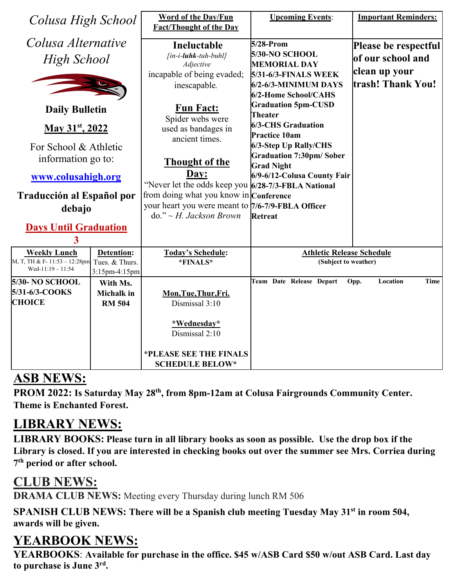| Colusa High School                                      |                           | <b>Word of the Day/Fun</b><br><b>Fact/Thought of the Day</b> | <b>Upcoming Events:</b>                                 | <b>Important Reminders:</b> |
|---------------------------------------------------------|---------------------------|--------------------------------------------------------------|---------------------------------------------------------|-----------------------------|
| Colusa Alternative                                      |                           | Ineluctable                                                  | 5/28-Prom                                               | Please be respectful        |
| High School                                             |                           | [in-i-luhk-tuh-buhl]<br>Adjective                            | 5/30-NO SCHOOL<br><b>MEMORIAL DAY</b>                   | of our school and           |
|                                                         |                           | incapable of being evaded;                                   | <b>5/31-6/3-FINALS WEEK</b>                             | clean up your               |
|                                                         |                           | inescapable.                                                 | 6/2-6/3-MINIMUM DAYS                                    | trash! Thank You!           |
|                                                         |                           |                                                              | 6/2-Home School/CAHS                                    |                             |
| <b>Daily Bulletin</b>                                   |                           | <b>Fun Fact:</b>                                             | <b>Graduation 5pm-CUSD</b>                              |                             |
|                                                         |                           | Spider webs were                                             | <b>Theater</b>                                          |                             |
| May 31 <sup>st</sup> , 2022                             |                           | used as bandages in                                          | <b>6/3-CHS Graduation</b>                               |                             |
|                                                         |                           | ancient times.                                               | <b>Practice 10am</b>                                    |                             |
| For School & Athletic                                   |                           |                                                              | 6/3-Step Up Rally/CHS<br><b>Graduation 7:30pm/Sober</b> |                             |
| information go to:                                      |                           | Thought of the                                               | <b>Grad Night</b>                                       |                             |
| www.colusahigh.org                                      |                           | Day:                                                         | 6/9-6/12-Colusa County Fair                             |                             |
|                                                         |                           | "Never let the odds keep you 6/28-7/3-FBLA National          |                                                         |                             |
| Traducción al Español por                               |                           | from doing what you know in Conference                       |                                                         |                             |
| debajo                                                  |                           | your heart you were meant to 7/6-7/9-FBLA Officer            |                                                         |                             |
|                                                         |                           | $do. " \sim H. Jackson Brown$                                | <b>Retreat</b>                                          |                             |
| <b>Days Until Graduation</b>                            |                           |                                                              |                                                         |                             |
| 3                                                       |                           |                                                              |                                                         |                             |
| <b>Weekly Lunch</b>                                     | <b>Detention:</b>         | <b>Today's Schedule:</b>                                     | <b>Athletic Release Schedule</b>                        |                             |
| M, T, TH & F- $11:53 - 12:28$ pm<br>Wed-11:19 $- 11:54$ | Tues. & Thurs.            | *FINALS*                                                     | (Subject to weather)                                    |                             |
| <b>5/30- NO SCHOOL</b>                                  | 3:15pm-4:15pm<br>With Ms. |                                                              | Team Date Release Depart                                | Location<br>Time<br>Opp.    |
| 5/31-6/3-COOKS                                          | <b>Michalk</b> in         | Mon, Tue, Thur, Fri.                                         |                                                         |                             |
| <b>CHOICE</b>                                           | <b>RM 504</b>             | Dismissal 3:10                                               |                                                         |                             |
|                                                         |                           |                                                              |                                                         |                             |
|                                                         |                           | *Wednesday*                                                  |                                                         |                             |
|                                                         |                           | Dismissal 2:10                                               |                                                         |                             |
|                                                         |                           |                                                              |                                                         |                             |
|                                                         |                           | *PLEASE SEE THE FINALS                                       |                                                         |                             |
|                                                         |                           | <b>SCHEDULE BELOW*</b>                                       |                                                         |                             |

## **ASB NEWS:**

PROM 2022: Is Saturday May 28<sup>th</sup>, from 8pm-12am at Colusa Fairgrounds Community Center. **Theme is Enchanted Forest.**

## **LIBRARY NEWS:**

**LIBRARY BOOKS: Please turn in all library books as soon as possible. Use the drop box if the Library is closed. If you are interested in checking books out over the summer see Mrs. Corriea during 7th period or after school.**

## **CLUB NEWS:**

**DRAMA CLUB NEWS:** Meeting every Thursday during lunch RM 506

SPANISH CLUB NEWS: There will be a Spanish club meeting Tuesday May 31<sup>st</sup> in room 504, **awards will be given.**

# **YEARBOOK NEWS:**

**YEARBOOKS**: **Available for purchase in the office. \$45 w/ASB Card \$50 w/out ASB Card. Last day to purchase is June 3rd.**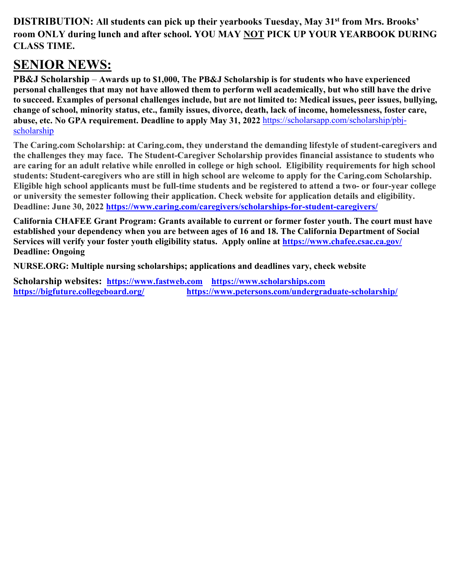**DISTRIBUTION: All students can pick up their yearbooks Tuesday, May 31st from Mrs. Brooks' room ONLY during lunch and after school. YOU MAY NOT PICK UP YOUR YEARBOOK DURING CLASS TIME.**

### **SENIOR NEWS:**

**PB&J Scholarship** – **Awards up to \$1,000, The PB&J Scholarship is for students who have experienced personal challenges that may not have allowed them to perform well academically, but who still have the drive to succeed. Examples of personal challenges include, but are not limited to: Medical issues, peer issues, bullying, change of school, minority status, etc., family issues, divorce, death, lack of income, homelessness, foster care, abuse, etc. No GPA requirement. Deadline to apply May 31, 2022** [https://scholarsapp.com/scholarship/pbj](https://scholarsapp.com/scholarship/pbj-scholarship)[scholarship](https://scholarsapp.com/scholarship/pbj-scholarship)

**The Caring.com Scholarship: at Caring.com, they understand the demanding lifestyle of student-caregivers and the challenges they may face. The Student-Caregiver Scholarship provides financial assistance to students who are caring for an adult relative while enrolled in college or high school. Eligibility requirements for high school students: Student-caregivers who are still in high school are welcome to apply for the Caring.com Scholarship. Eligible high school applicants must be full-time students and be registered to attend a two- or four-year college or university the semester following their application. Check website for application details and eligibility. Deadline: June 30, 2022<https://www.caring.com/caregivers/scholarships-for-student-caregivers/>**

**California CHAFEE Grant Program: Grants available to current or former foster youth. The court must have established your dependency when you are between ages of 16 and 18. The California Department of Social Services will verify your foster youth eligibility status. Apply online at<https://www.chafee.csac.ca.gov/> Deadline: Ongoing**

**NURSE.ORG: Multiple nursing scholarships; applications and deadlines vary, check website** 

**Scholarship websites: [https://www.fastweb.com](https://www.fastweb.com/) [https://www.scholarships.com](https://www.scholarships.com/)  <https://bigfuture.collegeboard.org/><https://www.petersons.com/undergraduate-scholarship/>**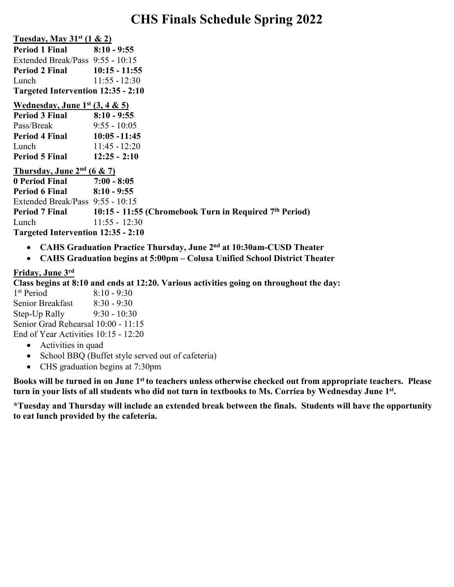### **CHS Finals Schedule Spring 2022**

| Tuesday, May $31st$ (1 & 2)        |                 |  |  |  |
|------------------------------------|-----------------|--|--|--|
| <b>Period 1 Final</b>              | $8:10 - 9:55$   |  |  |  |
| Extended Break/Pass 9:55 - 10:15   |                 |  |  |  |
| <b>Period 2 Final</b>              | $10:15 - 11:55$ |  |  |  |
| Lunch                              | $11:55 - 12:30$ |  |  |  |
| Targeted Intervention 12:35 - 2:10 |                 |  |  |  |

#### **Wednesday, June 1st (3, 4 & 5)**

| <b>Period 3 Final</b> | $8:10 - 9:55$   |
|-----------------------|-----------------|
| Pass/Break            | $9:55 - 10:05$  |
| Period 4 Final        | $10:05 - 11:45$ |
| Lunch                 | $11:45 - 12:20$ |
| <b>Period 5 Final</b> | $12:25 - 2:10$  |

#### **Thursday, June 2nd (6 & 7)**

**0 Period Final 7:00 - 8:05 Period 6 Final 8:10 - 9:55** Extended Break/Pass 9:55 - 10:15 **Period 7 Final 10:15 - 11:55 (Chromebook Turn in Required 7th Period)** Lunch 11:55 - 12:30 **Targeted Intervention 12:35 - 2:10**

- **CAHS Graduation Practice Thursday, June 2nd at 10:30am-CUSD Theater**
- **CAHS Graduation begins at 5:00pm – Colusa Unified School District Theater**

### **Friday, June 3rd**

**Class begins at 8:10 and ends at 12:20. Various activities going on throughout the day:**

1<sup>st</sup> Period 8:10 - 9:30 Senior Breakfast 8:30 - 9:30 Step-Up Rally 9:30 - 10:30 Senior Grad Rehearsal 10:00 - 11:15 End of Year Activities 10:15 - 12:20

- Activities in quad
- School BBQ (Buffet style served out of cafeteria)
- CHS graduation begins at 7:30pm

**Books will be turned in on June 1st to teachers unless otherwise checked out from appropriate teachers. Please turn in your lists of all students who did not turn in textbooks to Ms. Corriea by Wednesday June 1st.**

**\*Tuesday and Thursday will include an extended break between the finals. Students will have the opportunity to eat lunch provided by the cafeteria.**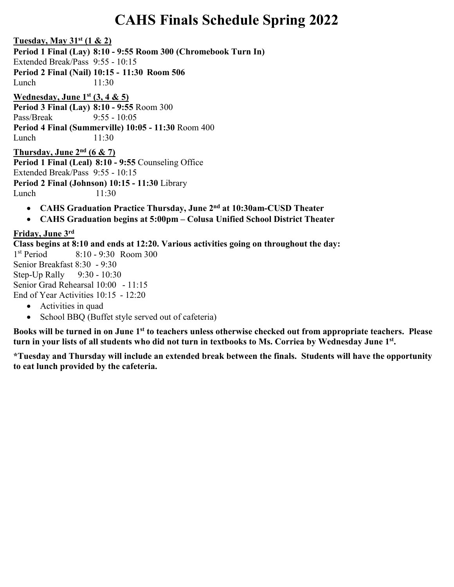# **CAHS Finals Schedule Spring 2022**

**Tuesday, May 31st (1 & 2)**

**Period 1 Final (Lay) 8:10 - 9:55 Room 300 (Chromebook Turn In)**

Extended Break/Pass 9:55 - 10:15

**Period 2 Final (Nail) 10:15 - 11:30 Room 506**

Lunch 11:30

**Wednesday, June 1st (3, 4 & 5)**

**Period 3 Final (Lay) 8:10 - 9:55** Room 300 Pass/Break 9:55 - 10:05 **Period 4 Final (Summerville) 10:05 - 11:30** Room 400 Lunch 11:30

**Thursday, June 2nd (6 & 7) Period 1 Final (Leal) 8:10 - 9:55** Counseling Office Extended Break/Pass 9:55 - 10:15 **Period 2 Final (Johnson) 10:15 - 11:30** Library

Lunch 11:30

- **CAHS Graduation Practice Thursday, June 2nd at 10:30am-CUSD Theater**
- **CAHS Graduation begins at 5:00pm – Colusa Unified School District Theater**

### **Friday, June 3rd**

**Class begins at 8:10 and ends at 12:20. Various activities going on throughout the day:**

1st Period 8:10 - 9:30 Room 300 Senior Breakfast 8:30 - 9:30 Step-Up Rally 9:30 - 10:30 Senior Grad Rehearsal 10:00 - 11:15 End of Year Activities 10:15 - 12:20

- Activities in quad
- School BBQ (Buffet style served out of cafeteria)

**Books will be turned in on June 1st to teachers unless otherwise checked out from appropriate teachers. Please turn in your lists of all students who did not turn in textbooks to Ms. Corriea by Wednesday June 1st.**

**\*Tuesday and Thursday will include an extended break between the finals. Students will have the opportunity to eat lunch provided by the cafeteria.**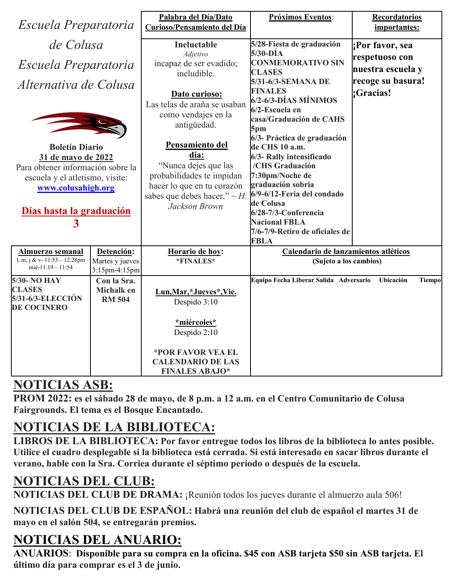| Escuela Preparatoria                           |                 | Palabra del Día/Dato                          | Próximos Eventos:                             | Recordatorios              |
|------------------------------------------------|-----------------|-----------------------------------------------|-----------------------------------------------|----------------------------|
|                                                |                 | Curioso/Pensamiento del Día                   |                                               | importantes:               |
| de Colusa                                      |                 | Ineluctable                                   | 5/28-Fiesta de graduación<br>5/30-DÍA         | Por favor, sea             |
|                                                |                 | Adjetivo<br>incapaz de ser evadido;           | <b>CONMEMORATIVO SIN</b>                      | respetuoso con             |
| Escuela Preparatoria                           |                 | ineludible.                                   | <b>CLASES</b>                                 | nuestra escuela y          |
| Alternativa de Colusa                          |                 |                                               | 5/31-6/3-SEMANA DE                            | recoge su basura!          |
|                                                |                 | Dato curioso:                                 | <b>FINALES</b>                                | :Gracias!                  |
|                                                |                 | Las telas de araña se usaban                  | $6/2 - 6/3 - DÍAS$ MÍNIMOS<br>6/2-Escuela en  |                            |
|                                                |                 | como vendajes en la                           | casa/Graduación de CAHS                       |                            |
|                                                |                 | antigüedad.                                   | 5pm                                           |                            |
|                                                |                 |                                               | 6/3- Práctica de graduación                   |                            |
| <b>Boletín Diario</b>                          |                 | Pensamiento del                               | de CHS 10 a.m.                                |                            |
| 31 de mayo de 2022                             |                 | día:<br>"Nunca dejes que las                  | 6/3- Rally intensificado<br>/CHS Graduación   |                            |
| Para obtener información sobre la              |                 | probabilidades te impidan                     | 7:30pm/Noche de                               |                            |
| escuela y el atletismo, visite:                |                 | hacer lo que en tu corazón                    | graduación sobria                             |                            |
| www.colusahigh.org                             |                 | sabes que debes hacer." $\sim$ H.             | 6/9-6/12-Feria del condado                    |                            |
|                                                |                 | Jackson Brown                                 | de Colusa                                     |                            |
| Días hasta la graduación                       |                 |                                               | 6/28-7/3-Conferencia                          |                            |
| $\overline{\mathbf{3}}$                        |                 |                                               | <b>Nacional FBLA</b>                          |                            |
|                                                |                 |                                               | 7/6-7/9-Retiro de oficiales de<br><b>FBLA</b> |                            |
| <b>Almuerzo semanal</b>                        | Detención:      | Horario de hoy:                               | Calendario de lanzamientos atléticos          |                            |
| l, m, j & v- 11:53 - 12:28pm                   | Martes y jueves | *FINALES*                                     | (Sujeto a los cambios)                        |                            |
| mié-11:19 - 11:54                              | 3:15pm-4:15pm   |                                               |                                               |                            |
| 5/30- NO HAY                                   | Con la Sra.     |                                               | Equipo Fecha Liberar Salida Adversario        | Ubicación<br><b>Tiempo</b> |
| <b>CLASES</b>                                  | Michalk en      | Lun, Mar, *Jueves *, Vie.                     |                                               |                            |
| <b>5/31-6/3-ELECCIÓN</b><br><b>DE COCINERO</b> | <b>RM 504</b>   | Despido 3:10                                  |                                               |                            |
|                                                |                 |                                               |                                               |                            |
|                                                |                 | *miércoles*                                   |                                               |                            |
|                                                |                 | Despido 2:10                                  |                                               |                            |
|                                                |                 |                                               |                                               |                            |
|                                                |                 | *POR FAVOR VEA EL<br><b>CALENDARIO DE LAS</b> |                                               |                            |
|                                                |                 | <b>FINALES ABAJO*</b>                         |                                               |                            |
|                                                |                 |                                               |                                               |                            |

### **NOTICIAS ASB:**

**PROM 2022: es el sábado 28 de mayo, de 8 p.m. a 12 a.m. en el Centro Comunitario de Colusa Fairgrounds. El tema es el Bosque Encantado.**

# **NOTICIAS DE LA BIBLIOTECA:**

**LIBROS DE LA BIBLIOTECA: Por favor entregue todos los libros de la biblioteca lo antes posible. Utilice el cuadro desplegable si la biblioteca está cerrada. Si está interesado en sacar libros durante el verano, hable con la Sra. Corriea durante el séptimo período o después de la escuela.**

# **NOTICIAS DEL CLUB:**

**NOTICIAS DEL CLUB DE DRAMA:** ¡Reunión todos los jueves durante el almuerzo aula 506!

**NOTICIAS DEL CLUB DE ESPAÑOL: Habrá una reunión del club de español el martes 31 de mayo en el salón 504, se entregarán premios.**

# **NOTICIAS DEL ANUARIO:**

**ANUARIOS**: **Disponible para su compra en la oficina. \$45 con ASB tarjeta \$50 sin ASB tarjeta. El último día para comprar es el 3 de junio.**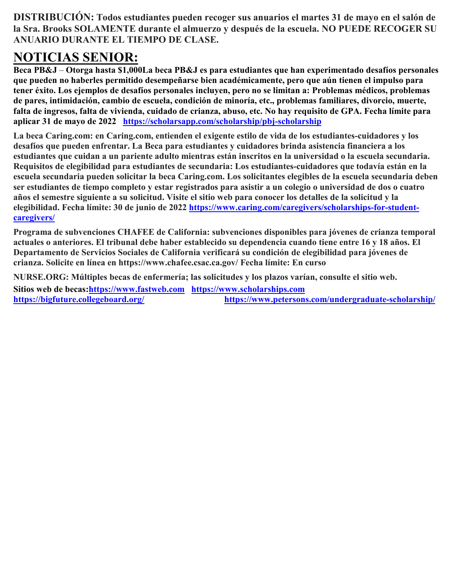**DISTRIBUCIÓN: Todos estudiantes pueden recoger sus anuarios el martes 31 de mayo en el salón de la Sra. Brooks SOLAMENTE durante el almuerzo y después de la escuela. NO PUEDE RECOGER SU ANUARIO DURANTE EL TIEMPO DE CLASE.**

# **NOTICIAS SENIOR:**

**Beca PB&J** – **Otorga hasta \$1,000La beca PB&J es para estudiantes que han experimentado desafíos personales que pueden no haberles permitido desempeñarse bien académicamente, pero que aún tienen el impulso para tener éxito. Los ejemplos de desafíos personales incluyen, pero no se limitan a: Problemas médicos, problemas de pares, intimidación, cambio de escuela, condición de minoría, etc., problemas familiares, divorcio, muerte, falta de ingresos, falta de vivienda, cuidado de crianza, abuso, etc. No hay requisito de GPA. Fecha límite para aplicar 31 de mayo de 2022 <https://scholarsapp.com/scholarship/pbj-scholarship>**

**La beca Caring.com: en Caring.com, entienden el exigente estilo de vida de los estudiantes-cuidadores y los desafíos que pueden enfrentar. La Beca para estudiantes y cuidadores brinda asistencia financiera a los estudiantes que cuidan a un pariente adulto mientras están inscritos en la universidad o la escuela secundaria. Requisitos de elegibilidad para estudiantes de secundaria: Los estudiantes-cuidadores que todavía están en la escuela secundaria pueden solicitar la beca Caring.com. Los solicitantes elegibles de la escuela secundaria deben ser estudiantes de tiempo completo y estar registrados para asistir a un colegio o universidad de dos o cuatro años el semestre siguiente a su solicitud. Visite el sitio web para conocer los detalles de la solicitud y la elegibilidad. Fecha límite: 30 de junio de 2022 [https://www.caring.com/caregivers/scholarships-for-student](https://www.caring.com/caregivers/scholarships-for-student-caregivers/)[caregivers/](https://www.caring.com/caregivers/scholarships-for-student-caregivers/)**

**Programa de subvenciones CHAFEE de California: subvenciones disponibles para jóvenes de crianza temporal actuales o anteriores. El tribunal debe haber establecido su dependencia cuando tiene entre 16 y 18 años. El Departamento de Servicios Sociales de California verificará su condición de elegibilidad para jóvenes de crianza. Solicite en línea en https://www.chafee.csac.ca.gov/ Fecha límite: En curso**

**NURSE.ORG: Múltiples becas de enfermería; las solicitudes y los plazos varían, consulte el sitio web.**

**Sitios web de becas[:https://www.fastweb.com](https://www.fastweb.com/) [https://www.scholarships.com](https://www.scholarships.com/)  <https://bigfuture.collegeboard.org/><https://www.petersons.com/undergraduate-scholarship/>**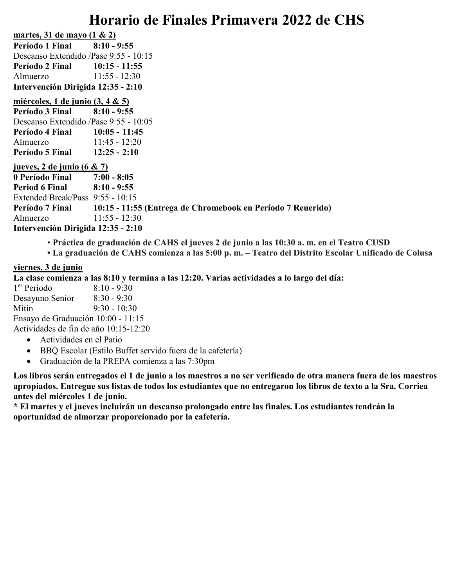## **Horario de Finales Primavera 2022 de CHS**

**martes, 31 de mayo (1 & 2) Período 1 Final 8:10 - 9:55** Descanso Extendido /Pase 9:55 - 10:15 **Período 2 Final 10:15 - 11:55** Almuerzo 11:55 - 12:30 **Intervención Dirigida 12:35 - 2:10**

#### **miércoles, 1 de junio (3, 4 & 5)**

**Período 3 Final 8:10 - 9:55** Descanso Extendido /Pase 9:55 - 10:05 **Período 4 Final 10:05 - 11:45** Almuerzo 11:45 - 12:20 **Período 5 Final 12:25 - 2:10**

#### **jueves, 2 de junio (6 & 7)**

**0 Período Final 7:00 - 8:05 Period 6 Final 8:10 - 9:55** Extended Break/Pass 9:55 - 10:15 **Período 7 Final 10:15 - 11:55 (Entrega de Chromebook en Período 7 Reuerido)** Almuerzo 11:55 - 12:30 **Intervención Dirigida 12:35 - 2:10**

- **Práctica de graduación de CAHS el jueves 2 de junio a las 10:30 a. m. en el Teatro CUSD**
- **La graduación de CAHS comienza a las 5:00 p. m. – Teatro del Distrito Escolar Unificado de Colusa**

#### **viernes, 3 de junio**

**La clase comienza a las 8:10 y termina a las 12:20. Varias actividades a lo largo del día:**

1er Período 8:10 - 9:30 Desayuno Senior 8:30 - 9:30 Mitin 9:30 - 10:30 Ensayo de Graduación 10:00 - 11:15 Actividades de fin de año 10:15-12:20

- Actividades en el Patio
- BBQ Escolar (Estilo Buffet servido fuera de la cafetería)
- Graduación de la PREPA comienza a las 7:30pm

**Los libros serán entregados el 1 de junio a los maestros a no ser verificado de otra manera fuera de los maestros apropiados. Entregue sus listas de todos los estudiantes que no entregaron los libros de texto a la Sra. Corriea antes del miércoles 1 de junio.**

**\* El martes y el jueves incluirán un descanso prolongado entre las finales. Los estudiantes tendrán la oportunidad de almorzar proporcionado por la cafetería.**